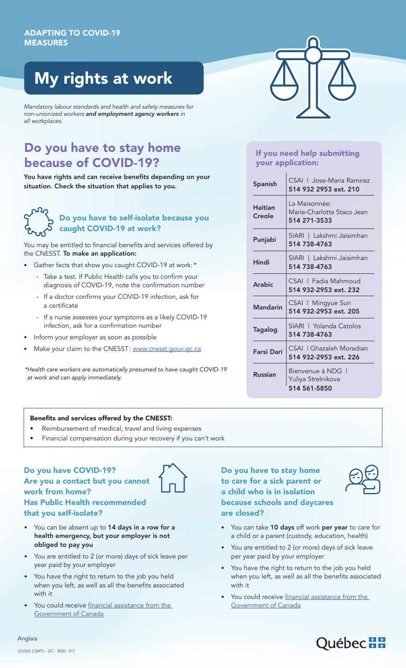# My rights at work

*Mandatory labour standards and health and safety measures for non-unionized workers and employment agency workers in all workplaces.*

# Do you have to stay home because of COVID-19?

You have rights and can receive benefits depending on your situation. Check the situation that applies to you.

### Do you have to self-isolate because you caught COVID-19 at work?

You may be entitled to financial benefits and services offered by the CNESST. To make an application:

- Gather facts that show you caught COVID-19 at work: \*
	- Take a test. If Public Health calls you to confirm your diagnosis of COVID-19, note the confirmation number
	- If a doctor confirms your COVID-19 infection, ask for a certificate
	- If a nurse assesses your symptoms as a likely COVID-19 infection, ask for a confirmation number
- Inform your employer as soon as possible
- Make your claim to the CNESST: www.cnesst.gouv.qc.ca

*\*Health care workers are automatically presumed to have caught COVID-19 at work and can apply immediately.*

## If you need help submitting your application:

| <b>Spanish</b>           | CSAL   Jose-Maria Ramirez<br>514 932 2953 ext. 210          |
|--------------------------|-------------------------------------------------------------|
| <b>Haitian</b><br>Creole | La Maisonnée:<br>Marie-Charlotte Staco Jean<br>514 271-3533 |
| Punjabi                  | SIARI   Lakshmi Jaisimhan<br>514 738-4763                   |
| Hindi                    | SIARI   Lakshmi Jaisimhan<br>514 738-4763                   |
| Arabic                   | CSAL   Fadia Mahmoud<br>514 932-2953 ext. 232               |
| Mandarin                 | CSAI   Mingyue Sun<br>514 932-2953 ext. 205                 |
| Tagalog                  | SIARI   Yolanda Catolos<br>514 738-4763                     |
| <b>Farsi Dari</b>        | CSAL I Ghazaleh Moradian<br>514 932-2953 ext. 226           |
| Russian                  | Bienvenue à NDG  <br>Yuliya Strelnikova<br>514 561-5850     |

#### Benefits and services offered by the CNESST:

- Reimbursement of medical, travel and living expenses
- Financial compensation during your recovery if you can't work

#### Do you have COVID-19? Are you a contact but you cannot work from home? Has Public Health recommended that you self-isolate?

- You can be absent up to 14 days in a row for a health emergency, but your employer is not obliged to pay you
- You are entitled to 2 (or more) days of sick leave per year paid by your employer
- You have the right to return to the job you held when you left, as well as all the benefits associated with it
- You could receive [financial assistance from the](https://santemontreal.qc.ca/en/public/coronavirus-covid-19/informations-multilingues/?oreawe67tdyfc=yes) [Government of Canada](https://santemontreal.qc.ca/en/public/coronavirus-covid-19/informations-multilingues/?oreawe67tdyfc=yes)

Do you have to stay home to care for a sick parent or a child who is in isolation because schools and daycares are closed?



- You can take 10 days off work per year to care for a child or a parent (custody, education, health)
- You are entitled to 2 (or more) days of sick leave per year paid by your employer
- You have the right to return to the job you held when you left, as well as all the benefits associated with it
- You could receive [financial assistance from the](https://santemontreal.qc.ca/en/public/coronavirus-covid-19/informations-multilingues/?oreawe67tdyfc=yes) [Government of Canada](https://santemontreal.qc.ca/en/public/coronavirus-covid-19/informations-multilingues/?oreawe67tdyfc=yes)



#### CIUSSS CSMTL - DC - 2020 - 017

Anglais